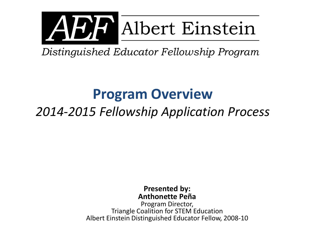

# AVAP Albert Einstein

Distinguished Educator Fellowship Program

## **Program Overview**

### *2014-2015 Fellowship Application Process*

#### **Presented by: Anthonette Peña**

Program Director, Triangle Coalition for STEM Education Albert Einstein Distinguished Educator Fellow, 2008-10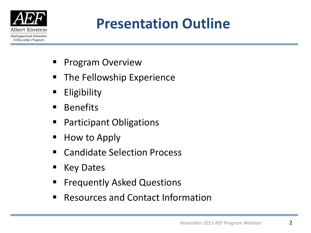

## **Presentation Outline**

- Program Overview
- **The Fellowship Experience**
- **Eligibility**
- **Benefits**
- **Participant Obligations**
- $\blacksquare$  How to Apply
- Candidate Selection Process
- Key Dates
- Frequently Asked Questions
- Resources and Contact Information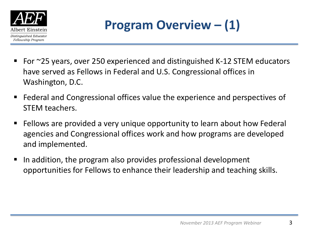

### **Program Overview – (1)**

- For ~25 years, over 250 experienced and distinguished K-12 STEM educators have served as Fellows in Federal and U.S. Congressional offices in Washington, D.C.
- Federal and Congressional offices value the experience and perspectives of STEM teachers.
- Fellows are provided a very unique opportunity to learn about how Federal agencies and Congressional offices work and how programs are developed and implemented.
- In addition, the program also provides professional development opportunities for Fellows to enhance their leadership and teaching skills.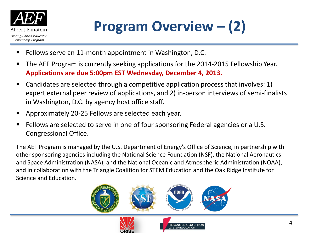

## **Program Overview – (2)**

- **Fellows serve an 11-month appointment in Washington, D.C.**
- The AEF Program is currently seeking applications for the 2014-2015 Fellowship Year. **Applications are due 5:00pm EST Wednesday, December 4, 2013.**
- Candidates are selected through a competitive application process that involves: 1) expert external peer review of applications, and 2) in-person interviews of semi-finalists in Washington, D.C. by agency host office staff.
- Approximately 20-25 Fellows are selected each year.
- Fellows are selected to serve in one of four sponsoring Federal agencies or a U.S. Congressional Office.

The AEF Program is managed by the U.S. Department of Energy's Office of Science, in partnership with other sponsoring agencies including the National Science Foundation (NSF), the National Aeronautics and Space Administration (NASA), and the National Oceanic and Atmospheric Administration (NOAA), and in collaboration with the Triangle Coalition for STEM Education and the Oak Ridge Institute for Science and Education.

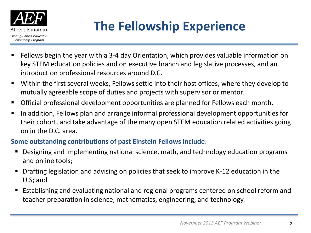

### **The Fellowship Experience**

- Fellows begin the year with a 3-4 day Orientation, which provides valuable information on key STEM education policies and on executive branch and legislative processes, and an introduction professional resources around D.C.
- Within the first several weeks, Fellows settle into their host offices, where they develop to mutually agreeable scope of duties and projects with supervisor or mentor.
- Official professional development opportunities are planned for Fellows each month.
- In addition, Fellows plan and arrange informal professional development opportunities for their cohort, and take advantage of the many open STEM education related activities going on in the D.C. area.

#### **Some outstanding contributions of past Einstein Fellows include**:

- Designing and implementing national science, math, and technology education programs and online tools;
- Drafting legislation and advising on policies that seek to improve K-12 education in the U.S; and
- Establishing and evaluating national and regional programs centered on school reform and teacher preparation in science, mathematics, engineering, and technology.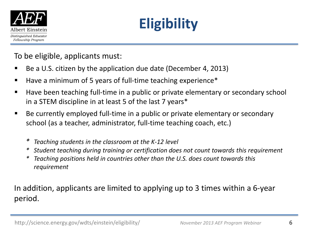

## **Eligibility**

To be eligible, applicants must:

- Be a U.S. citizen by the application due date (December 4, 2013)
- Have a minimum of 5 years of full-time teaching experience\*
- Have been teaching full-time in a public or private elementary or secondary school in a STEM discipline in at least 5 of the last 7 years\*
- Be currently employed full-time in a public or private elementary or secondary school (as a teacher, administrator, full-time teaching coach, etc.)
	- *\* Teaching students in the classroom at the K-12 level*
	- *\* Student teaching during training or certification does not count towards this requirement*
	- *\* Teaching positions held in countries other than the U.S. does count towards this requirement*

In addition, applicants are limited to applying up to 3 times within a 6-year period.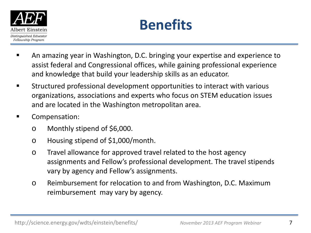



- An amazing year in Washington, D.C. bringing your expertise and experience to assist federal and Congressional offices, while gaining professional experience and knowledge that build your leadership skills as an educator.
- Structured professional development opportunities to interact with various organizations, associations and experts who focus on STEM education issues and are located in the Washington metropolitan area.
- Compensation:
	- o Monthly stipend of \$6,000.
	- o Housing stipend of \$1,000/month.
	- o Travel allowance for approved travel related to the host agency assignments and Fellow's professional development. The travel stipends vary by agency and Fellow's assignments.
	- o Reimbursement for relocation to and from Washington, D.C. Maximum reimbursement may vary by agency.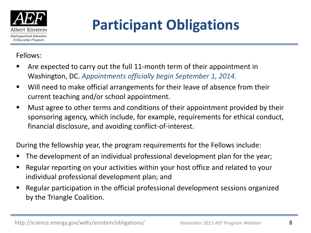

## **Participant Obligations**

Fellows:

- Are expected to carry out the full 11-month term of their appointment in Washington, DC. *Appointments officially begin September 1, 2014.*
- Will need to make official arrangements for their leave of absence from their current teaching and/or school appointment.
- Must agree to other terms and conditions of their appointment provided by their sponsoring agency, which include, for example, requirements for ethical conduct, financial disclosure, and avoiding conflict-of-interest.

During the fellowship year, the program requirements for the Fellows include:

- The development of an individual professional development plan for the year;
- Regular reporting on your activities within your host office and related to your individual professional development plan; and
- Regular participation in the official professional development sessions organized by the Triangle Coalition.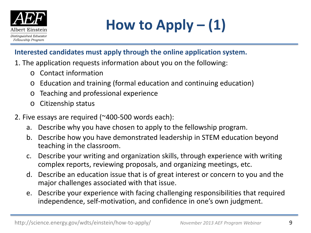

#### **Interested candidates must apply through the online application system.**

- 1. The application requests information about you on the following:
	- o Contact information
	- o Education and training (formal education and continuing education)
	- o Teaching and professional experience
	- o Citizenship status
- 2. Five essays are required (~400-500 words each):
	- a. Describe why you have chosen to apply to the fellowship program.
	- b. Describe how you have demonstrated leadership in STEM education beyond teaching in the classroom.
	- c. Describe your writing and organization skills, through experience with writing complex reports, reviewing proposals, and organizing meetings, etc.
	- d. Describe an education issue that is of great interest or concern to you and the major challenges associated with that issue.
	- e. Describe your experience with facing challenging responsibilities that required independence, self-motivation, and confidence in one's own judgment.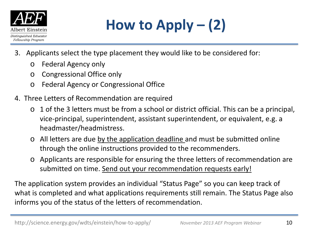

**How to Apply – (2)**

- 3. Applicants select the type placement they would like to be considered for:
	- o Federal Agency only
	- o Congressional Office only
	- o Federal Agency or Congressional Office
- 4. Three Letters of Recommendation are required
	- o 1 of the 3 letters must be from a school or district official. This can be a principal, vice-principal, superintendent, assistant superintendent, or equivalent, e.g. a headmaster/headmistress.
	- o All letters are due by the application deadline and must be submitted online through the online instructions provided to the recommenders.
	- o Applicants are responsible for ensuring the three letters of recommendation are submitted on time. Send out your recommendation requests early!

The application system provides an individual "Status Page" so you can keep track of what is completed and what applications requirements still remain. The Status Page also informs you of the status of the letters of recommendation.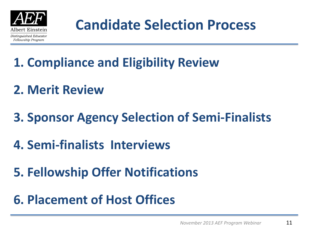

## **Candidate Selection Process**

- **1. Compliance and Eligibility Review**
- **2. Merit Review**
- **3. Sponsor Agency Selection of Semi-Finalists**
- **4. Semi-finalists Interviews**
- **5. Fellowship Offer Notifications**
- **6. Placement of Host Offices**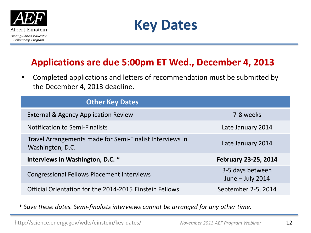



### **Applications are due 5:00pm ET Wed., December 4, 2013**

**EXP** Completed applications and letters of recommendation must be submitted by the December 4, 2013 deadline.

| <b>Other Key Dates</b>                                                       |                                        |
|------------------------------------------------------------------------------|----------------------------------------|
| <b>External &amp; Agency Application Review</b>                              | 7-8 weeks                              |
| <b>Notification to Semi-Finalists</b>                                        | Late January 2014                      |
| Travel Arrangements made for Semi-Finalist Interviews in<br>Washington, D.C. | Late January 2014                      |
| Interviews in Washington, D.C. *                                             | <b>February 23-25, 2014</b>            |
| <b>Congressional Fellows Placement Interviews</b>                            | 3-5 days between<br>June $-$ July 2014 |
| Official Orientation for the 2014-2015 Einstein Fellows                      | September 2-5, 2014                    |

*\* Save these dates. Semi-finalists interviews cannot be arranged for any other time.*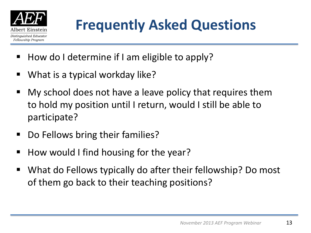

- How do I determine if I am eligible to apply?
- What is a typical workday like?
- My school does not have a leave policy that requires them to hold my position until I return, would I still be able to participate?
- Do Fellows bring their families?
- How would I find housing for the year?
- What do Fellows typically do after their fellowship? Do most of them go back to their teaching positions?